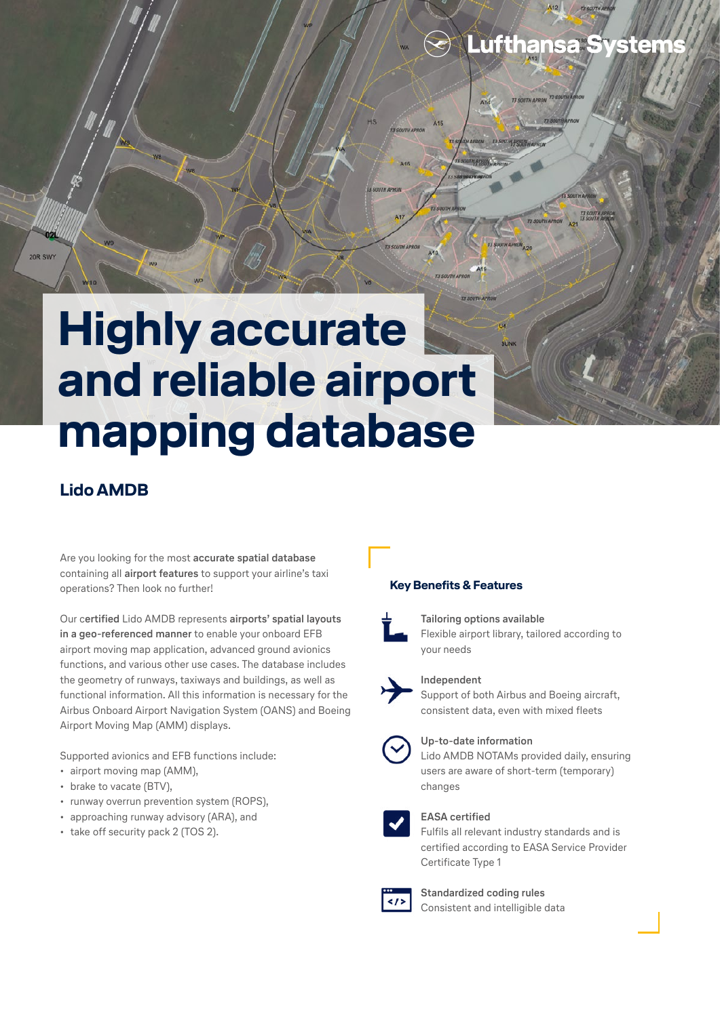

# **Lido AMDB**

20R SWY

Are you looking for the most **accurate spatial database** containing all **airport features** to support your airline's taxi operations? Then look no further!

Our c**ertified** Lido AMDB represents **airports' spatial layouts in a geo-referenced manner** to enable your onboard EFB airport moving map application, advanced ground avionics functions, and various other use cases. The database includes the geometry of runways, taxiways and buildings, as well as functional information. All this information is necessary for the Airbus Onboard Airport Navigation System (OANS) and Boeing Airport Moving Map (AMM) displays.

Supported avionics and EFB functions include:

- airport moving map (AMM),
- brake to vacate (BTV),
- runway overrun prevention system (ROPS),
- approaching runway advisory (ARA), and
- take off security pack 2 (TOS 2).

### **Key Benefits & Features**



## **Tailoring options available**

Flexible airport library, tailored according to your needs

Lufthansa System



### **Independent**

Support of both Airbus and Boeing aircraft, consistent data, even with mixed fleets



### **Up-to-date information**

Lido AMDB NOTAMs provided daily, ensuring users are aware of short-term (temporary) changes



### **EASA certified**

Fulfils all relevant industry standards and is certified according to EASA Service Provider Certificate Type 1



**Standardized coding rules** Consistent and intelligible data